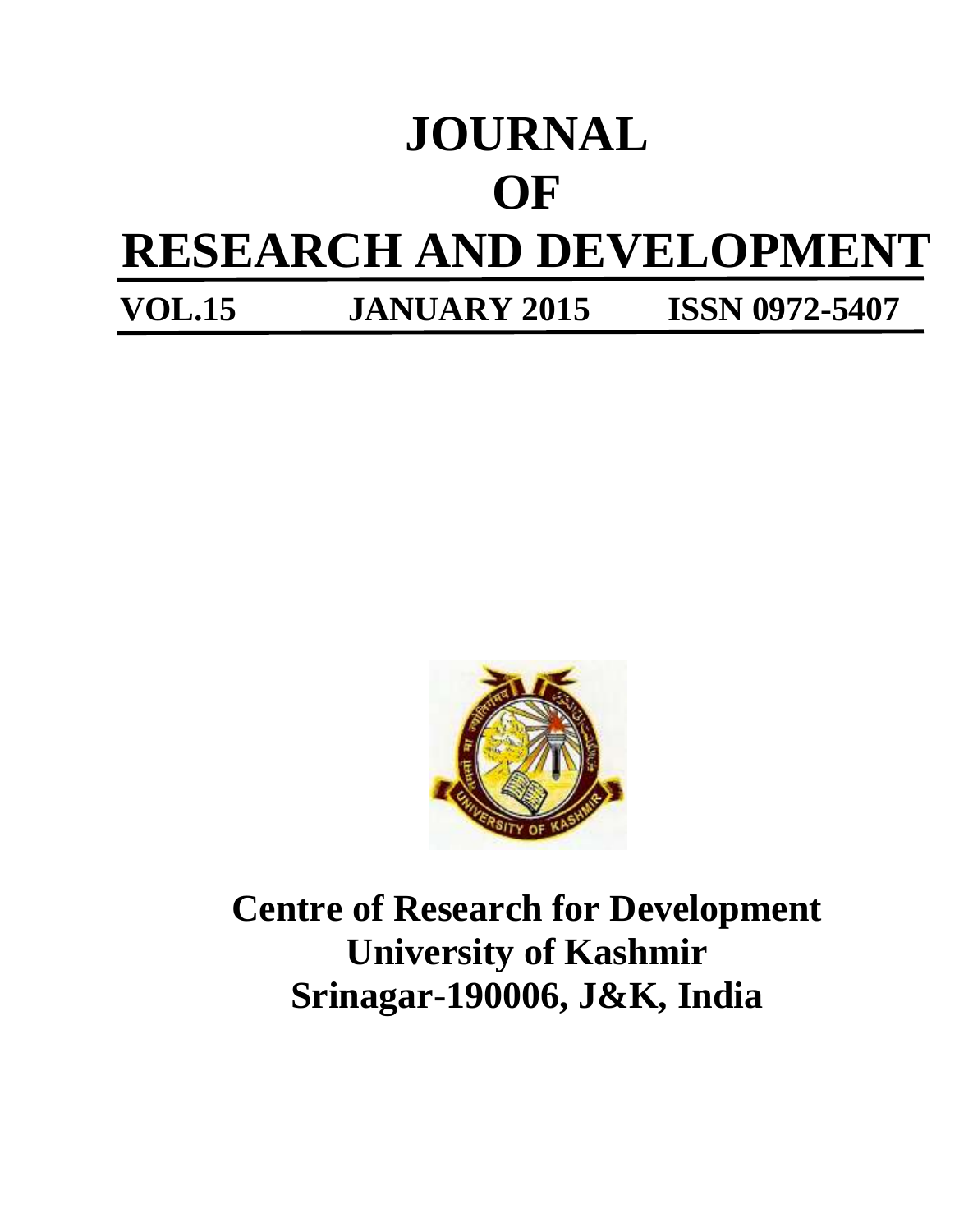# **JOURNAL OF RESEARCH AND DEVELOPMENT VOL.15 JANUARY 2015 ISSN 0972-5407**

**Centre of Research for Development University of Kashmir Srinagar-190006, J&K, India**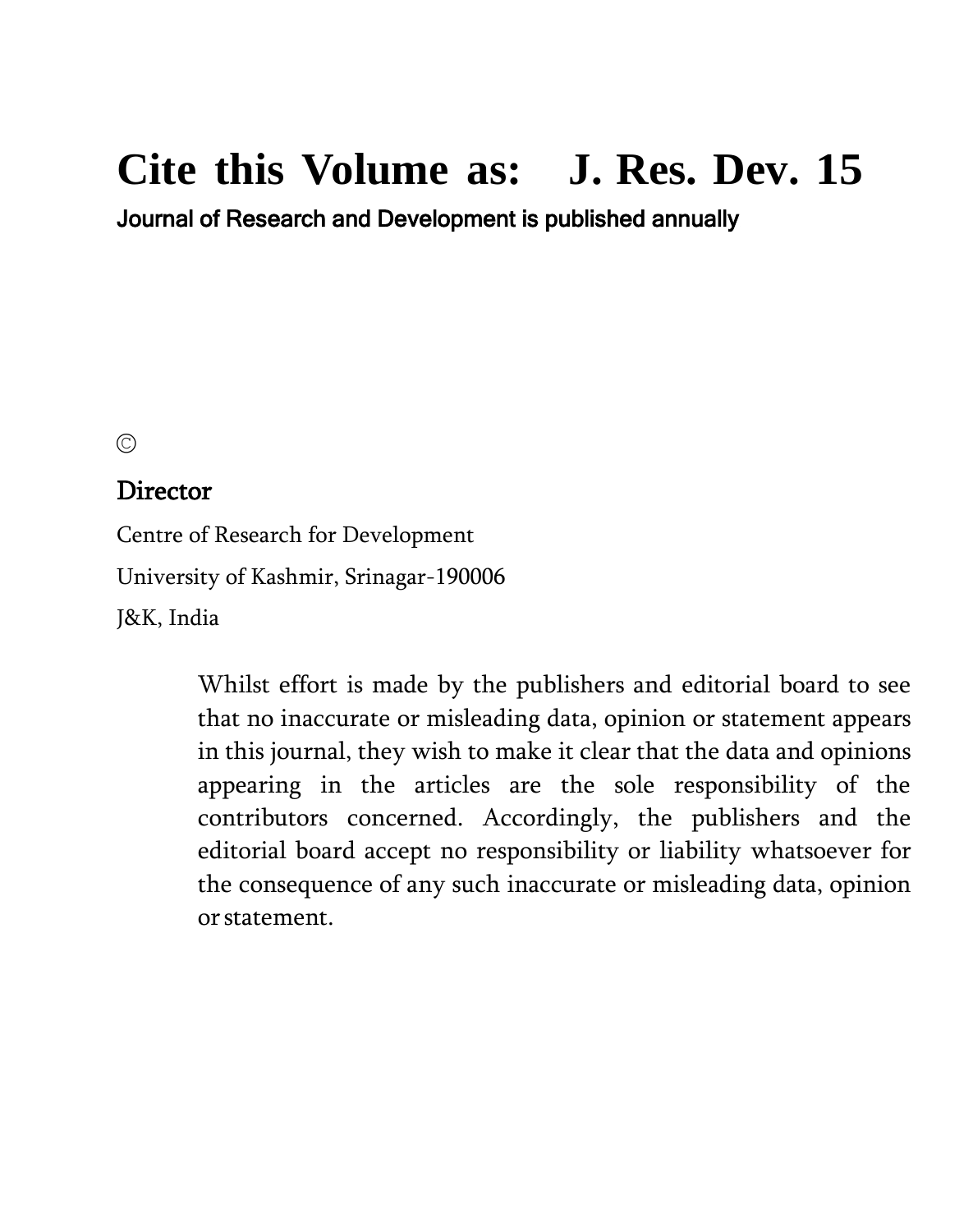# **Cite this Volume as: J. Res. Dev. 15**

Journal of Research and Development is published annually

©

### Director

Centre of Research for Development University of Kashmir, Srinagar-190006 J&K, India

> Whilst effort is made by the publishers and editorial board to see that no inaccurate or misleading data, opinion or statement appears in this journal, they wish to make it clear that the data and opinions appearing in the articles are the sole responsibility of the contributors concerned. Accordingly, the publishers and the editorial board accept no responsibility or liability whatsoever for the consequence of any such inaccurate or misleading data, opinion orstatement.